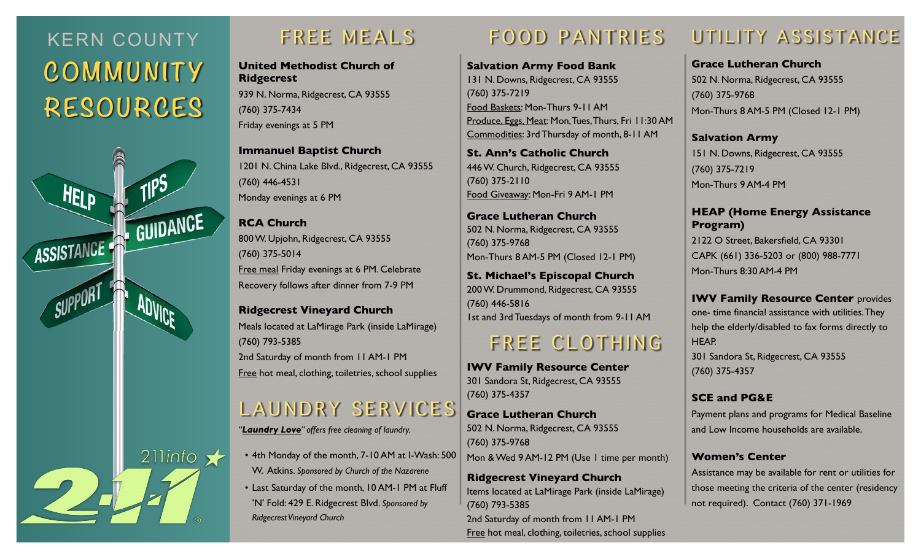# KERN COUNTY **COMMUNITY RESOURCES**



## FREE MEALS

**United Methodist Church of Ridgecrest** 

939 N. Norma, Ridgecrest, CA 93555 (760) 375-7434 Friday evenings at 5 PM

**Immanuel Baptist Church**  1201 N. China Lake Blvd., Ridgecrest, CA 93555 (760) 446-4531 Monday evenings at 6 PM

**RCA Church**  800 W. Upjohn, Ridgecrest, CA 93555 (760) 375-5014 Free meal Friday evenings at 6 PM. Celebrate Recovery follows after dinner from 7-9 PM

**Ridgecrest Vineyard Church**  Meals located at LaMirage Park (inside LaMirage) (760) 793-5385 2nd Saturday of month from 11 AM-1 PM Free hot meal, clothing, toiletries, school supplies

## LAUNDRY SERVICES

*"Laundry Love" offers free cleaning of laundry.*

• 4th Monday of the month, 7-10 AM at I-Wash: 500 W. Atkins. *Sponsored by Church of the Nazarene*

• Last Saturday of the month, 10 AM-1 PM at Fluff 'N' Fold: 429 E. Ridgecrest Blvd. *Sponsored by Ridgecrest Vineyard Church*

## FOOD PANTRIES

**Salvation Army Food Bank**  131 N. Downs, Ridgecrest, CA 93555 (760) 375-7219 Food Baskets: Mon-Thurs 9-11 AM Produce, Eggs, Meat: Mon, Tues, Thurs, Fri 11:30 AM Commodities: 3rd Thursday of month, 8-11 AM

**St. Ann's Catholic Church**  446 W. Church, Ridgecrest, CA 93555 (760) 375-2110 Food Giveaway: Mon-Fri 9 AM-1 PM

**Grace Lutheran Church** 502 N. Norma, Ridgecrest, CA 93555 (760) 375-9768 Mon-Thurs 8 AM-5 PM (Closed 12-1 PM)

**St. Michael's Episcopal Church**  200 W. Drummond, Ridgecrest, CA 93555 (760) 446-5816 1st and 3rd Tuesdays of month from 9-11 AM

## FREE CLOTHING

**IWV Family Resource Center** 301 Sandora St, Ridgecrest, CA 93555 (760) 375-4357

**Grace Lutheran Church**  502 N. Norma, Ridgecrest, CA 93555 (760) 375-9768 Mon & Wed 9 AM-12 PM (Use 1 time per month)

**Ridgecrest Vineyard Church**  Items located at LaMirage Park (inside LaMirage) (760) 793-5385 2nd Saturday of month from 11 AM-1 PM Free hot meal, clothing, toiletries, school supplies

# UTILITY ASSISTANCE

**Grace Lutheran Church**  502 N. Norma, Ridgecrest, CA 93555 (760) 375-9768 Mon-Thurs 8 AM-5 PM (Closed 12-1 PM)

**Salvation Army**  151 N. Downs, Ridgecrest, CA 93555 (760) 375-7219 Mon-Thurs 9 AM-4 PM

#### **HEAP (Home Energy Assistance Program)**

2122 O Street, Bakersfield, CA 93301 CAPK (661) 336-5203 or (800) 988-7771 Mon-Thurs 8:30 AM-4 PM

**IWV Family Resource Center** provides one- time financial assistance with utilities. They help the elderly/disabled to fax forms directly to HEAP.

301 Sandora St, Ridgecrest, CA 93555 (760) 375-4357

### **SCE and PG&E**

Payment plans and programs for Medical Baseline and Low Income households are available.

#### **Women's Center**

Assistance may be available for rent or utilities for those meeting the criteria of the center (residency not required). Contact (760) 371-1969